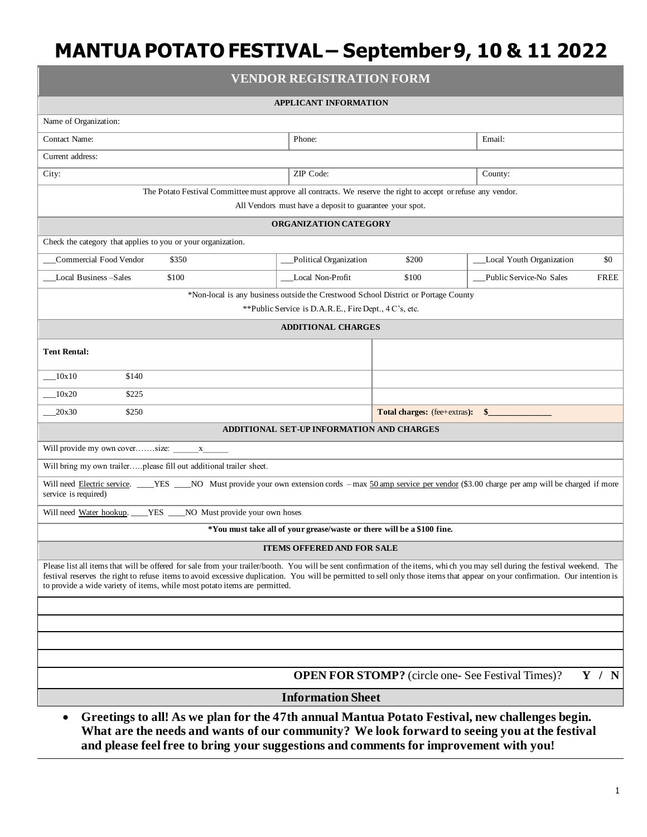| <b>VENDOR REGISTRATION FORM</b>                                                                                                                                                                                                                                                                                                                                                                                                             |                                                       |                                                                                    |                                        |  |
|---------------------------------------------------------------------------------------------------------------------------------------------------------------------------------------------------------------------------------------------------------------------------------------------------------------------------------------------------------------------------------------------------------------------------------------------|-------------------------------------------------------|------------------------------------------------------------------------------------|----------------------------------------|--|
| <b>APPLICANT INFORMATION</b>                                                                                                                                                                                                                                                                                                                                                                                                                |                                                       |                                                                                    |                                        |  |
| Name of Organization:                                                                                                                                                                                                                                                                                                                                                                                                                       |                                                       |                                                                                    |                                        |  |
| <b>Contact Name:</b>                                                                                                                                                                                                                                                                                                                                                                                                                        | Phone:                                                |                                                                                    | Email:                                 |  |
| Current address:                                                                                                                                                                                                                                                                                                                                                                                                                            |                                                       |                                                                                    |                                        |  |
| City:                                                                                                                                                                                                                                                                                                                                                                                                                                       | ZIP Code:                                             |                                                                                    | County:                                |  |
| The Potato Festival Committee must approve all contracts. We reserve the right to accept or refuse any vendor.                                                                                                                                                                                                                                                                                                                              |                                                       |                                                                                    |                                        |  |
| All Vendors must have a deposit to guarantee your spot.                                                                                                                                                                                                                                                                                                                                                                                     |                                                       |                                                                                    |                                        |  |
| ORGANIZATION CATEGORY                                                                                                                                                                                                                                                                                                                                                                                                                       |                                                       |                                                                                    |                                        |  |
| Check the category that applies to you or your organization.                                                                                                                                                                                                                                                                                                                                                                                |                                                       |                                                                                    |                                        |  |
| Commercial Food Vendor<br>\$350                                                                                                                                                                                                                                                                                                                                                                                                             | Political Organization                                | \$200                                                                              | Local Youth Organization<br>\$0        |  |
| Local Business-Sales<br>\$100                                                                                                                                                                                                                                                                                                                                                                                                               | Local Non-Profit                                      | \$100                                                                              | Public Service-No Sales<br><b>FREE</b> |  |
|                                                                                                                                                                                                                                                                                                                                                                                                                                             |                                                       | *Non-local is any business outside the Crestwood School District or Portage County |                                        |  |
|                                                                                                                                                                                                                                                                                                                                                                                                                                             | **Public Service is D.A.R.E., Fire Dept., 4 C's, etc. |                                                                                    |                                        |  |
|                                                                                                                                                                                                                                                                                                                                                                                                                                             | <b>ADDITIONAL CHARGES</b>                             |                                                                                    |                                        |  |
| <b>Tent Rental:</b>                                                                                                                                                                                                                                                                                                                                                                                                                         |                                                       |                                                                                    |                                        |  |
| 10x10<br>\$140                                                                                                                                                                                                                                                                                                                                                                                                                              |                                                       |                                                                                    |                                        |  |
| 10x20<br>\$225                                                                                                                                                                                                                                                                                                                                                                                                                              |                                                       |                                                                                    |                                        |  |
| 20x30<br>\$250                                                                                                                                                                                                                                                                                                                                                                                                                              |                                                       | Total charges: (fee+extras): \$_                                                   |                                        |  |
| ADDITIONAL SET-UP INFORMATION AND CHARGES                                                                                                                                                                                                                                                                                                                                                                                                   |                                                       |                                                                                    |                                        |  |
|                                                                                                                                                                                                                                                                                                                                                                                                                                             |                                                       |                                                                                    |                                        |  |
| Will bring my own trailerplease fill out additional trailer sheet.                                                                                                                                                                                                                                                                                                                                                                          |                                                       |                                                                                    |                                        |  |
| Will need Electric service. ___YES ___NO Must provide your own extension cords - max 50 amp service per vendor (\$3.00 charge per amp will be charged if more<br>service is required)                                                                                                                                                                                                                                                       |                                                       |                                                                                    |                                        |  |
| _YES ____NO Must provide your own hoses<br>Will need Water hookup.                                                                                                                                                                                                                                                                                                                                                                          |                                                       |                                                                                    |                                        |  |
| *You must take all of your grease/waste or there will be a \$100 fine.                                                                                                                                                                                                                                                                                                                                                                      |                                                       |                                                                                    |                                        |  |
| <b>ITEMS OFFERED AND FOR SALE</b>                                                                                                                                                                                                                                                                                                                                                                                                           |                                                       |                                                                                    |                                        |  |
| Please list all items that will be offered for sale from your trailer/booth. You will be sent confirmation of the items, which you may sell during the festival weekend. The<br>festival reserves the right to refuse items to avoid excessive duplication. You will be permitted to sell only those items that appear on your confirmation. Our intention is<br>to provide a wide variety of items, while most potato items are permitted. |                                                       |                                                                                    |                                        |  |
|                                                                                                                                                                                                                                                                                                                                                                                                                                             |                                                       |                                                                                    |                                        |  |
|                                                                                                                                                                                                                                                                                                                                                                                                                                             |                                                       |                                                                                    |                                        |  |
|                                                                                                                                                                                                                                                                                                                                                                                                                                             |                                                       |                                                                                    |                                        |  |
|                                                                                                                                                                                                                                                                                                                                                                                                                                             |                                                       |                                                                                    |                                        |  |
| <b>OPEN FOR STOMP?</b> (circle one- See Festival Times)?<br>Y /<br>$\mathbf N$                                                                                                                                                                                                                                                                                                                                                              |                                                       |                                                                                    |                                        |  |
| <b>Information Sheet</b>                                                                                                                                                                                                                                                                                                                                                                                                                    |                                                       |                                                                                    |                                        |  |
| $\mathbf{m}$ .                                                                                                                                                                                                                                                                                                                                                                                                                              |                                                       |                                                                                    |                                        |  |

• **Greetings to all! As we plan for the 47th annual Mantua Potato Festival, new challenges begin. What are the needs and wants of our community? We look forward to seeing you at the festival and please feel free to bring your suggestions and comments for improvement with you!**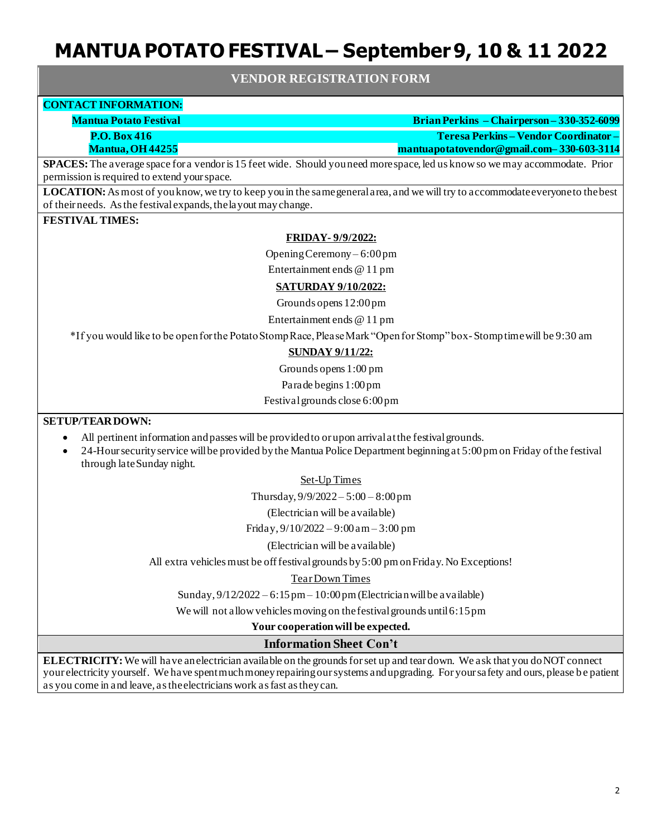### **VENDOR REGISTRATION FORM**

## **CONTACT INFORMATION:**

**Mantua Potato Festival Brian Perkins – Chairperson – 330-352-6099 P.O. Box 416 Teresa Perkins – Vendor Coordinator –** 

**Mantua, OH 44255 mantuapotatovendor@gmail.com– 330-603-3114**

**SPACES:** The average space for a vendor is 15 feet wide. Should you need more space, led us know so we may accommodate. Prior permission is required to extend your space.

**LOCATION:**As most of you know, we try to keep you in the same general area, and we will try to accommodate everyone to the best of their needs. As the festival expands, the layout may change.

## **FESTIVAL TIMES:**

#### **FRIDAY- 9/9/2022:**

Opening Ceremony – 6:00 pm

Entertainment ends @ 11 pm

#### **SATURDAY 9/10/2022:**

Grounds opens 12:00 pm

Entertainment ends @ 11 pm

\*If you would like to be open for the Potato Stomp Race, Please Mark "Open for Stomp" box-Stomp time will be 9:30 am

#### **SUNDAY 9/11/22:**

Grounds opens 1:00 pm

Parade begins 1:00 pm

Festival grounds close 6:00 pm

## **SETUP/TEAR DOWN:**

- All pertinent information and passes will be provided to or upon arrival at the festival grounds.
- 24-Hour security service will be provided by the Mantua Police Department beginning at 5:00 pm on Friday of the festival through late Sunday night.

#### Set-Up Times

Thursday,  $9/9/2022 - 5:00 - 8:00$  pm

(Electrician will be available)

Friday, 9/10/2022 – 9:00 am – 3:00 pm

(Electrician will be available)

All extra vehicles must be off festival grounds by 5:00 pm on Friday. No Exceptions!

#### Tear Down Times

Sunday,  $9/12/2022 - 6:15$  pm  $-10:00$  pm (Electrician will be a vailable)

We will not allow vehicles moving on the festival grounds until 6:15 pm

**Your cooperation will be expected.** 

#### **Information Sheet Con't**

**ELECTRICITY:**We will have an electrician available on the grounds for set up and tear down. We ask that you do NOT connect your electricity yourself. We have spent much money repairing our systems and upgrading. For your safety and ours, please b e patient as you come in and leave, as the electricians work as fast as they can.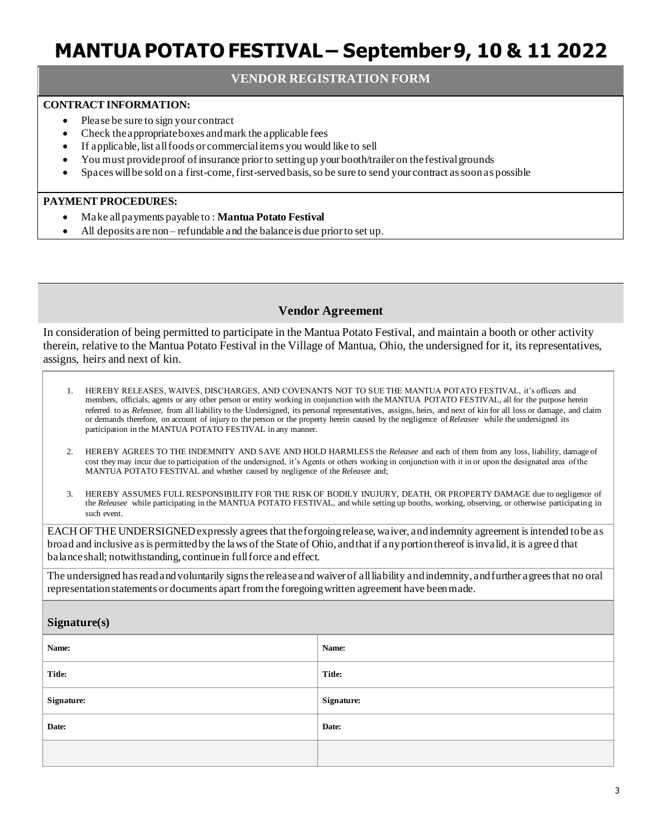## **VENDOR REGISTRATION FORM**

### **CONTRACT INFORMATION:**

- Please be sure to sign your contract
- Check the appropriate boxes and mark the applicable fees
- If applicable, list all foods or commercial items you would like to sell
- You must provide proof of insurance prior to setting up your booth/trailer on the festival grounds
- Spaces will be sold on a first-come, first-served basis, so be sure to send your contract as soon as possible

#### **PAYMENT PROCEDURES:**

- Make all payments payable to : **Mantua Potato Festival**
- All deposits are non refundable and the balance is due prior to set up.

## **Vendor Agreement**

In consideration of being permitted to participate in the Mantua Potato Festival, and maintain a booth or other activity therein, relative to the Mantua Potato Festival in the Village of Mantua, Ohio, the undersigned for it, its representatives, assigns, heirs and next of kin.

| HEREBY RELEASES, WAIVES, DISCHARGES, AND COVENANTS NOT TO SUE THE MANTUA POTATO FESTIVAL, it's officers and<br>members, officials, agents or any other person or entity working in conjunction with the MANTUA POTATO FESTIVAL, all for the purpose herein<br>referred to as Releasee, from all liability to the Undersigned, its personal representatives, assigns, heirs, and next of kin for all loss or damage, and claim<br>or demands therefore, on account of injury to the person or the property herein caused by the negligence of Releasee while the undersigned its<br>participation in the MANTUA POTATO FESTIVAL in any manner. |  |  |  |  |
|-----------------------------------------------------------------------------------------------------------------------------------------------------------------------------------------------------------------------------------------------------------------------------------------------------------------------------------------------------------------------------------------------------------------------------------------------------------------------------------------------------------------------------------------------------------------------------------------------------------------------------------------------|--|--|--|--|
| 2.<br>HEREBY AGREES TO THE INDEMNITY AND SAVE AND HOLD HARMLESS the <i>Releasee</i> and each of them from any loss, liability, damage of<br>cost they may incur due to participation of the undersigned, it's Agents or others working in conjunction with it in or upon the designated area of the<br>MANTUA POTATO FESTIVAL and whether caused by negligence of the Releasee and;                                                                                                                                                                                                                                                           |  |  |  |  |
| HEREBY ASSUMES FULL RESPONSIBILITY FOR THE RISK OF BODILY INUJURY, DEATH, OR PROPERTY DAMAGE due to negligence of<br>3.<br>the Releasee while participating in the MANTUA POTATO FESTIVAL, and while setting up booths, working, observing, or otherwise participating in<br>such event.                                                                                                                                                                                                                                                                                                                                                      |  |  |  |  |
| EACH OF THE UNDERSIGNED expressly a grees that the forgoing release, waiver, and indemnity agreement is intended to be as<br>broad and inclusive as is permitted by the laws of the State of Ohio, and that if any portion thereof is invalid, it is a greed that<br>balance shall; notwithstanding, continue in full force and effect.                                                                                                                                                                                                                                                                                                       |  |  |  |  |
| The undersigned has read and voluntarily signs the release and waiver of all liability and indemnity, and further agrees that no oral<br>representation statements or documents apart from the foregoing written agreement have been made.                                                                                                                                                                                                                                                                                                                                                                                                    |  |  |  |  |
| Signature(s)                                                                                                                                                                                                                                                                                                                                                                                                                                                                                                                                                                                                                                  |  |  |  |  |
| Name:                                                                                                                                                                                                                                                                                                                                                                                                                                                                                                                                                                                                                                         |  |  |  |  |
| Title:                                                                                                                                                                                                                                                                                                                                                                                                                                                                                                                                                                                                                                        |  |  |  |  |
| Signature:                                                                                                                                                                                                                                                                                                                                                                                                                                                                                                                                                                                                                                    |  |  |  |  |
| Date:                                                                                                                                                                                                                                                                                                                                                                                                                                                                                                                                                                                                                                         |  |  |  |  |
|                                                                                                                                                                                                                                                                                                                                                                                                                                                                                                                                                                                                                                               |  |  |  |  |
|                                                                                                                                                                                                                                                                                                                                                                                                                                                                                                                                                                                                                                               |  |  |  |  |